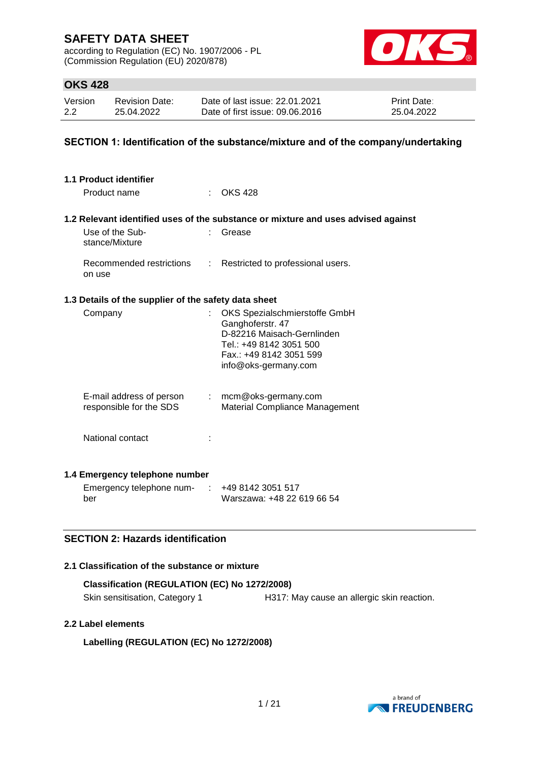according to Regulation (EC) No. 1907/2006 - PL (Commission Regulation (EU) 2020/878)



### **OKS 428**

| Version | <b>Revision Date:</b> | Date of last issue: 22.01.2021  | <b>Print Date:</b> |
|---------|-----------------------|---------------------------------|--------------------|
| 2.2     | 25.04.2022            | Date of first issue: 09.06.2016 | 25.04.2022         |

### **SECTION 1: Identification of the substance/mixture and of the company/undertaking**

| 1.1 Product identifier                               |                  |                                                                                                                                                               |
|------------------------------------------------------|------------------|---------------------------------------------------------------------------------------------------------------------------------------------------------------|
| Product name                                         |                  | <b>OKS 428</b>                                                                                                                                                |
|                                                      |                  | 1.2 Relevant identified uses of the substance or mixture and uses advised against                                                                             |
| Use of the Sub-<br>stance/Mixture                    |                  | Grease                                                                                                                                                        |
| Recommended restrictions<br>on use                   | $\mathbb{R}^{n}$ | Restricted to professional users.                                                                                                                             |
| 1.3 Details of the supplier of the safety data sheet |                  |                                                                                                                                                               |
| Company                                              |                  | OKS Spezialschmierstoffe GmbH<br>Ganghoferstr. 47<br>D-82216 Maisach-Gernlinden<br>Tel.: +49 8142 3051 500<br>Fax.: +49 8142 3051 599<br>info@oks-germany.com |
| E-mail address of person<br>responsible for the SDS  |                  | $:$ mcm@oks-germany.com<br>Material Compliance Management                                                                                                     |
| National contact                                     |                  |                                                                                                                                                               |
| 1.4 Emergency telephone number                       |                  |                                                                                                                                                               |
| Emergency telephone num-<br>ber                      |                  | +49 8142 3051 517<br>Warszawa: +48 22 619 66 54                                                                                                               |

### **SECTION 2: Hazards identification**

### **2.1 Classification of the substance or mixture**

| Classification (REGULATION (EC) No 1272/2008) |                                            |  |  |  |
|-----------------------------------------------|--------------------------------------------|--|--|--|
| Skin sensitisation, Category 1                | H317: May cause an allergic skin reaction. |  |  |  |

### **2.2 Label elements**

**Labelling (REGULATION (EC) No 1272/2008)**

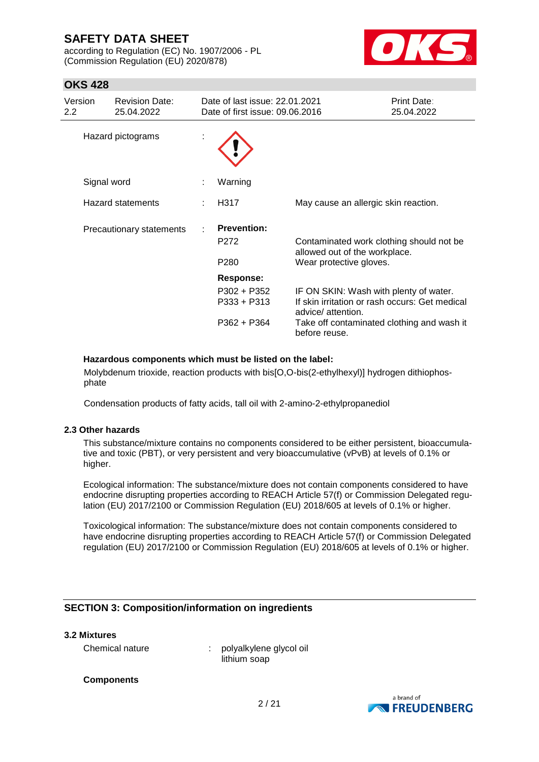according to Regulation (EC) No. 1907/2006 - PL (Commission Regulation (EU) 2020/878)



## **OKS 428**

| Version<br>$2.2^{\circ}$ | <b>Revision Date:</b><br>25.04.2022 | Date of last issue: 22.01.2021<br>Date of first issue: 09.06.2016 |                                                                           | Print Date:<br>25.04.2022 |
|--------------------------|-------------------------------------|-------------------------------------------------------------------|---------------------------------------------------------------------------|---------------------------|
|                          | Hazard pictograms                   |                                                                   |                                                                           |                           |
| Signal word              |                                     | Warning                                                           |                                                                           |                           |
|                          | <b>Hazard statements</b>            | H317                                                              | May cause an allergic skin reaction.                                      |                           |
|                          | Precautionary statements            | <b>Prevention:</b>                                                |                                                                           |                           |
|                          |                                     | P272                                                              | Contaminated work clothing should not be<br>allowed out of the workplace. |                           |
|                          |                                     | P280                                                              | Wear protective gloves.                                                   |                           |
|                          |                                     | Response:                                                         |                                                                           |                           |
|                          |                                     | P302 + P352                                                       | IF ON SKIN: Wash with plenty of water.                                    |                           |
|                          |                                     | P333 + P313                                                       | If skin irritation or rash occurs: Get medical<br>advice/ attention.      |                           |
|                          |                                     | P362 + P364                                                       | Take off contaminated clothing and wash it<br>before reuse.               |                           |

#### **Hazardous components which must be listed on the label:**

Molybdenum trioxide, reaction products with bis[O,O-bis(2-ethylhexyl)] hydrogen dithiophosphate

Condensation products of fatty acids, tall oil with 2-amino-2-ethylpropanediol

### **2.3 Other hazards**

This substance/mixture contains no components considered to be either persistent, bioaccumulative and toxic (PBT), or very persistent and very bioaccumulative (vPvB) at levels of 0.1% or higher.

Ecological information: The substance/mixture does not contain components considered to have endocrine disrupting properties according to REACH Article 57(f) or Commission Delegated regulation (EU) 2017/2100 or Commission Regulation (EU) 2018/605 at levels of 0.1% or higher.

Toxicological information: The substance/mixture does not contain components considered to have endocrine disrupting properties according to REACH Article 57(f) or Commission Delegated regulation (EU) 2017/2100 or Commission Regulation (EU) 2018/605 at levels of 0.1% or higher.

### **SECTION 3: Composition/information on ingredients**

#### **3.2 Mixtures**

Chemical nature : polyalkylene glycol oil lithium soap

#### **Components**

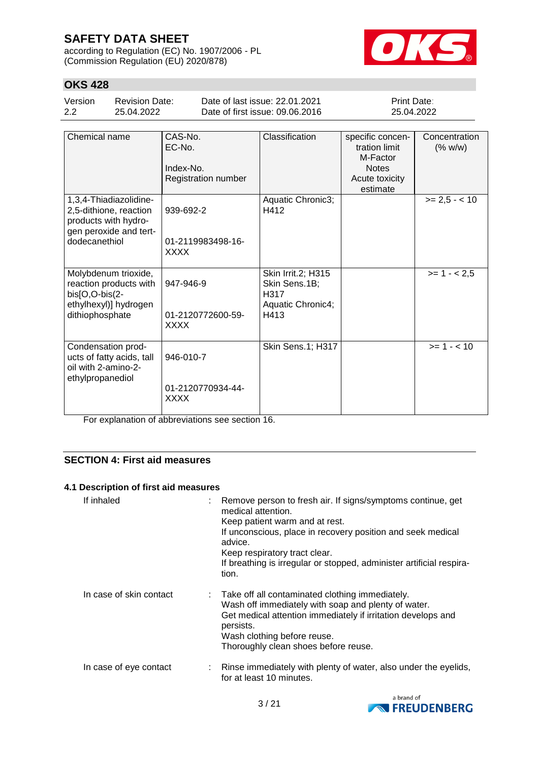according to Regulation (EC) No. 1907/2006 - PL (Commission Regulation (EU) 2020/878)



# **OKS 428**

| Version | Revision Date: | Date of last issue: 22.01.2021  | <b>Print Date:</b> |
|---------|----------------|---------------------------------|--------------------|
| 2.2     | 25.04.2022     | Date of first issue: 09.06.2016 | 25.04.2022         |

| Chemical name                                                                                                       | CAS-No.<br>EC-No.<br>Index-No.<br>Registration number | Classification                                                           | specific concen-<br>tration limit<br>M-Factor<br><b>Notes</b><br>Acute toxicity<br>estimate | Concentration<br>(% w/w) |
|---------------------------------------------------------------------------------------------------------------------|-------------------------------------------------------|--------------------------------------------------------------------------|---------------------------------------------------------------------------------------------|--------------------------|
| 1,3,4-Thiadiazolidine-<br>2,5-dithione, reaction<br>products with hydro-<br>gen peroxide and tert-<br>dodecanethiol | 939-692-2<br>01-2119983498-16-<br><b>XXXX</b>         | Aquatic Chronic3;<br>H412                                                |                                                                                             | $>= 2.5 - < 10$          |
| Molybdenum trioxide,<br>reaction products with<br>$bis[O,O-bis(2-$<br>ethylhexyl)] hydrogen<br>dithiophosphate      | 947-946-9<br>01-2120772600-59-<br><b>XXXX</b>         | Skin Irrit.2; H315<br>Skin Sens.1B;<br>H317<br>Aquatic Chronic4;<br>H413 |                                                                                             | $>= 1 - 2.5$             |
| Condensation prod-<br>ucts of fatty acids, tall<br>oil with 2-amino-2-<br>ethylpropanediol                          | 946-010-7<br>01-2120770934-44-<br><b>XXXX</b>         | Skin Sens.1; H317                                                        |                                                                                             | $>= 1 - < 10$            |

For explanation of abbreviations see section 16.

### **SECTION 4: First aid measures**

### **4.1 Description of first aid measures**

| If inhaled              | : Remove person to fresh air. If signs/symptoms continue, get<br>medical attention.<br>Keep patient warm and at rest.<br>If unconscious, place in recovery position and seek medical<br>advice.<br>Keep respiratory tract clear.<br>If breathing is irregular or stopped, administer artificial respira-<br>tion. |
|-------------------------|-------------------------------------------------------------------------------------------------------------------------------------------------------------------------------------------------------------------------------------------------------------------------------------------------------------------|
| In case of skin contact | : Take off all contaminated clothing immediately.<br>Wash off immediately with soap and plenty of water.<br>Get medical attention immediately if irritation develops and<br>persists.<br>Wash clothing before reuse.<br>Thoroughly clean shoes before reuse.                                                      |
| In case of eye contact  | : Rinse immediately with plenty of water, also under the eyelids,<br>for at least 10 minutes.                                                                                                                                                                                                                     |

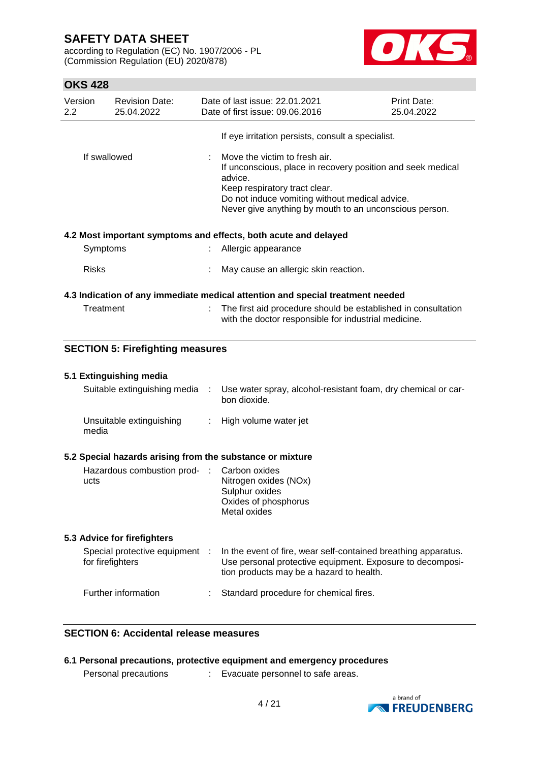according to Regulation (EC) No. 1907/2006 - PL (Commission Regulation (EU) 2020/878)



# **OKS 428**

| 2.2       | Version                                                 | <b>Revision Date:</b><br>25.04.2022     |       | Date of last issue: 22.01.2021<br>Date of first issue: 09.06.2016                                                                                                                                                                                    | <b>Print Date:</b><br>25.04.2022 |
|-----------|---------------------------------------------------------|-----------------------------------------|-------|------------------------------------------------------------------------------------------------------------------------------------------------------------------------------------------------------------------------------------------------------|----------------------------------|
|           |                                                         |                                         |       | If eye irritation persists, consult a specialist.                                                                                                                                                                                                    |                                  |
|           | If swallowed                                            |                                         |       | Move the victim to fresh air.<br>If unconscious, place in recovery position and seek medical<br>advice.<br>Keep respiratory tract clear.<br>Do not induce vomiting without medical advice.<br>Never give anything by mouth to an unconscious person. |                                  |
|           |                                                         |                                         |       | 4.2 Most important symptoms and effects, both acute and delayed                                                                                                                                                                                      |                                  |
|           | Symptoms                                                |                                         |       | Allergic appearance                                                                                                                                                                                                                                  |                                  |
|           | <b>Risks</b>                                            |                                         |       | May cause an allergic skin reaction.                                                                                                                                                                                                                 |                                  |
| Treatment |                                                         |                                         | $\pm$ | 4.3 Indication of any immediate medical attention and special treatment needed<br>The first aid procedure should be established in consultation                                                                                                      |                                  |
|           |                                                         |                                         |       | with the doctor responsible for industrial medicine.                                                                                                                                                                                                 |                                  |
|           |                                                         | <b>SECTION 5: Firefighting measures</b> |       |                                                                                                                                                                                                                                                      |                                  |
|           |                                                         |                                         |       |                                                                                                                                                                                                                                                      |                                  |
|           | 5.1 Extinguishing media<br>Suitable extinguishing media |                                         | ÷     | Use water spray, alcohol-resistant foam, dry chemical or car-<br>bon dioxide.                                                                                                                                                                        |                                  |
|           | media                                                   | Unsuitable extinguishing                | ÷.    | High volume water jet                                                                                                                                                                                                                                |                                  |
|           |                                                         |                                         |       | 5.2 Special hazards arising from the substance or mixture                                                                                                                                                                                            |                                  |
|           | ucts                                                    | Hazardous combustion prod-              | - 11  | Carbon oxides<br>Nitrogen oxides (NOx)<br>Sulphur oxides<br>Oxides of phosphorus<br>Metal oxides                                                                                                                                                     |                                  |
|           |                                                         | 5.3 Advice for firefighters             |       |                                                                                                                                                                                                                                                      |                                  |
|           | for firefighters                                        | Special protective equipment            | - 11  | In the event of fire, wear self-contained breathing apparatus.<br>Use personal protective equipment. Exposure to decomposi-<br>tion products may be a hazard to health.                                                                              |                                  |
|           |                                                         | Further information                     |       | Standard procedure for chemical fires.                                                                                                                                                                                                               |                                  |

### **SECTION 6: Accidental release measures**

|                      | 6.1 Personal precautions, protective equipment and emergency procedures |
|----------------------|-------------------------------------------------------------------------|
| Personal precautions | Evacuate personnel to safe areas.                                       |

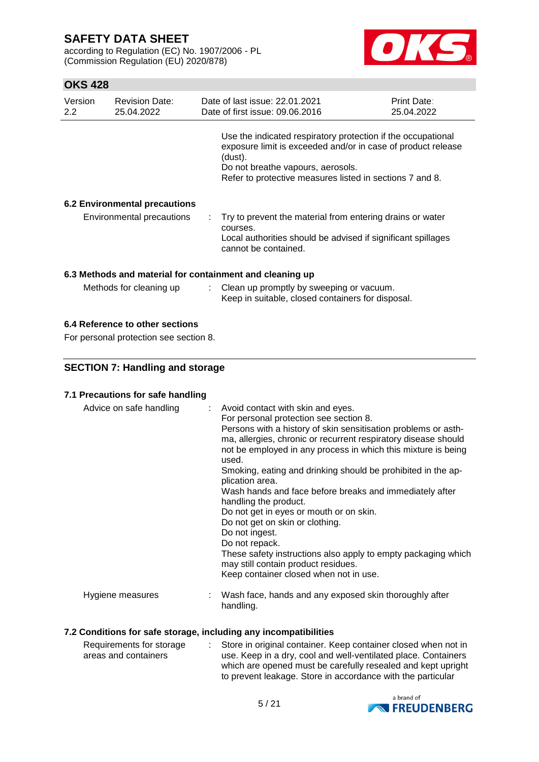according to Regulation (EC) No. 1907/2006 - PL (Commission Regulation (EU) 2020/878)



## **OKS 428**

| Version<br>$2.2^{\circ}$ | <b>Revision Date:</b><br>25.04.2022  | Date of last issue: 22.01.2021<br>Date of first issue: 09.06.2016                                                                                                                                                                        | Print Date:<br>25.04.2022 |
|--------------------------|--------------------------------------|------------------------------------------------------------------------------------------------------------------------------------------------------------------------------------------------------------------------------------------|---------------------------|
|                          |                                      | Use the indicated respiratory protection if the occupational<br>exposure limit is exceeded and/or in case of product release<br>(dust).<br>Do not breathe vapours, aerosols.<br>Refer to protective measures listed in sections 7 and 8. |                           |
|                          | <b>6.2 Environmental precautions</b> |                                                                                                                                                                                                                                          |                           |
|                          | Environmental precautions            | $\therefore$ Try to prevent the material from entering drains or water<br>courses.<br>Local authorities should be advised if significant spillages<br>cannot be contained.                                                               |                           |
|                          | Methods for cleaning up              | 6.3 Methods and material for containment and cleaning up<br>: Clean up promptly by sweeping or vacuum.<br>Keep in suitable, closed containers for disposal.                                                                              |                           |

### **6.4 Reference to other sections**

For personal protection see section 8.

### **SECTION 7: Handling and storage**

### **7.1 Precautions for safe handling**

| Advice on safe handling | : Avoid contact with skin and eyes.<br>For personal protection see section 8.<br>Persons with a history of skin sensitisation problems or asth-<br>ma, allergies, chronic or recurrent respiratory disease should<br>not be employed in any process in which this mixture is being<br>used.<br>Smoking, eating and drinking should be prohibited in the ap-<br>plication area.<br>Wash hands and face before breaks and immediately after<br>handling the product.<br>Do not get in eyes or mouth or on skin.<br>Do not get on skin or clothing.<br>Do not ingest.<br>Do not repack.<br>These safety instructions also apply to empty packaging which<br>may still contain product residues.<br>Keep container closed when not in use. |
|-------------------------|----------------------------------------------------------------------------------------------------------------------------------------------------------------------------------------------------------------------------------------------------------------------------------------------------------------------------------------------------------------------------------------------------------------------------------------------------------------------------------------------------------------------------------------------------------------------------------------------------------------------------------------------------------------------------------------------------------------------------------------|
| Hygiene measures        | Wash face, hands and any exposed skin thoroughly after<br>handling.                                                                                                                                                                                                                                                                                                                                                                                                                                                                                                                                                                                                                                                                    |

### **7.2 Conditions for safe storage, including any incompatibilities**

| Requirements for storage | Store in original container. Keep container closed when not in |
|--------------------------|----------------------------------------------------------------|
| areas and containers     | use. Keep in a dry, cool and well-ventilated place. Containers |
|                          | which are opened must be carefully resealed and kept upright   |
|                          | to prevent leakage. Store in accordance with the particular    |

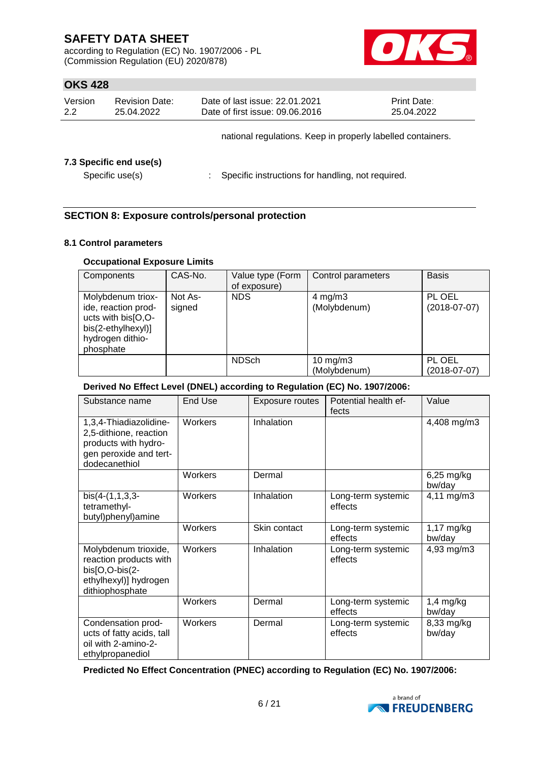according to Regulation (EC) No. 1907/2006 - PL (Commission Regulation (EU) 2020/878)



### **OKS 428**

| Version | <b>Revision Date:</b> | Date of last issue: 22.01.2021                              | <b>Print Date:</b> |
|---------|-----------------------|-------------------------------------------------------------|--------------------|
| 2.2     | 25.04.2022            | Date of first issue: 09.06.2016                             | 25.04.2022         |
|         |                       | national regulations. Keep in properly labelled containers. |                    |

### **7.3 Specific end use(s)**

Specific use(s) : Specific instructions for handling, not required.

### **SECTION 8: Exposure controls/personal protection**

### **8.1 Control parameters**

### **Occupational Exposure Limits**

| Components                                                                                                            | CAS-No.           | Value type (Form<br>of exposure) | Control parameters                 | <b>Basis</b>             |
|-----------------------------------------------------------------------------------------------------------------------|-------------------|----------------------------------|------------------------------------|--------------------------|
| Molybdenum triox-<br>ide, reaction prod-<br>ucts with bis[O,O-<br>bis(2-ethylhexyl)]<br>hydrogen dithio-<br>phosphate | Not As-<br>signed | <b>NDS</b>                       | $4 \text{ mg/m}$ 3<br>(Molybdenum) | PL OEL<br>$(2018-07-07)$ |
|                                                                                                                       |                   | <b>NDSch</b>                     | 10 mg/m $3$<br>(Molybdenum)        | PL OEL<br>$(2018-07-07)$ |

### **Derived No Effect Level (DNEL) according to Regulation (EC) No. 1907/2006:**

| Substance name                                                                                                      | End Use | Exposure routes | Potential health ef-<br>fects | Value                  |
|---------------------------------------------------------------------------------------------------------------------|---------|-----------------|-------------------------------|------------------------|
| 1,3,4-Thiadiazolidine-<br>2,5-dithione, reaction<br>products with hydro-<br>gen peroxide and tert-<br>dodecanethiol | Workers | Inhalation      |                               | 4,408 mg/m3            |
|                                                                                                                     | Workers | Dermal          |                               | $6,25$ mg/kg<br>bw/day |
| $bis(4-(1,1,3,3-$<br>tetramethyl-<br>butyl)phenyl)amine                                                             | Workers | Inhalation      | Long-term systemic<br>effects | 4,11 mg/m3             |
|                                                                                                                     | Workers | Skin contact    | Long-term systemic<br>effects | 1,17 mg/kg<br>bw/day   |
| Molybdenum trioxide,<br>reaction products with<br>bis[O,O-bis(2-<br>ethylhexyl)] hydrogen<br>dithiophosphate        | Workers | Inhalation      | Long-term systemic<br>effects | 4,93 mg/m3             |
|                                                                                                                     | Workers | Dermal          | Long-term systemic<br>effects | $1,4$ mg/kg<br>bw/day  |
| Condensation prod-<br>ucts of fatty acids, tall<br>oil with 2-amino-2-<br>ethylpropanediol                          | Workers | Dermal          | Long-term systemic<br>effects | 8,33 mg/kg<br>bw/day   |

**Predicted No Effect Concentration (PNEC) according to Regulation (EC) No. 1907/2006:**

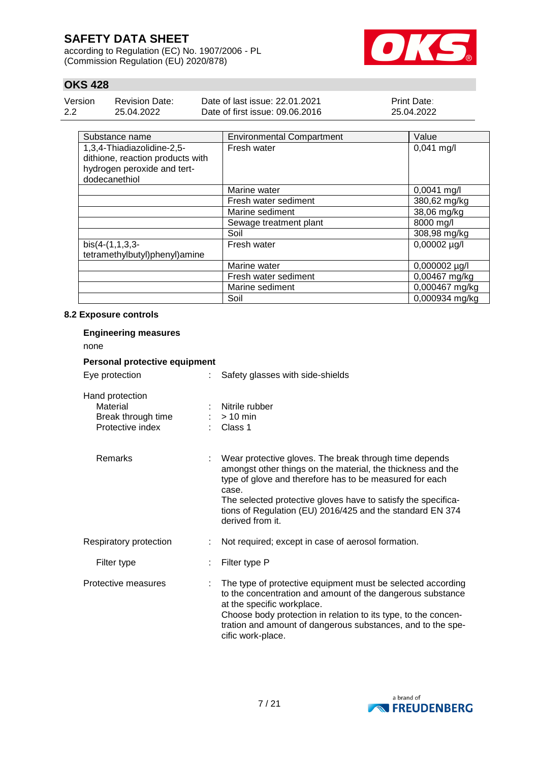according to Regulation (EC) No. 1907/2006 - PL (Commission Regulation (EU) 2020/878)



## **OKS 428**

| Version | <b>Revision Date:</b> | Date of last issue: 22.01.2021  | <b>Print Date:</b> |
|---------|-----------------------|---------------------------------|--------------------|
| 2.2     | 25.04.2022            | Date of first issue: 09.06.2016 | 25.04.2022         |

| Substance name                   | <b>Environmental Compartment</b> | Value          |
|----------------------------------|----------------------------------|----------------|
| 1,3,4-Thiadiazolidine-2,5-       | Fresh water                      | $0,041$ mg/l   |
| dithione, reaction products with |                                  |                |
| hydrogen peroxide and tert-      |                                  |                |
| dodecanethiol                    |                                  |                |
|                                  | Marine water                     | $0,0041$ mg/l  |
|                                  | Fresh water sediment             | 380,62 mg/kg   |
|                                  | Marine sediment                  | 38,06 mg/kg    |
|                                  | Sewage treatment plant           | 8000 mg/l      |
|                                  | Soil                             | 308,98 mg/kg   |
| $bis(4-(1,1,3,3)$                | Fresh water                      | 0,00002 µg/l   |
| tetramethylbutyl)phenyl)amine    |                                  |                |
|                                  | Marine water                     | 0,000002 µg/l  |
|                                  | Fresh water sediment             | 0,00467 mg/kg  |
|                                  | Marine sediment                  | 0,000467 mg/kg |
|                                  | Soil                             | 0,000934 mg/kg |

### **8.2 Exposure controls**

| <b>Engineering measures</b><br>none                                   |                                                                                                                                                                                                                                                                                                                                             |  |  |  |  |  |
|-----------------------------------------------------------------------|---------------------------------------------------------------------------------------------------------------------------------------------------------------------------------------------------------------------------------------------------------------------------------------------------------------------------------------------|--|--|--|--|--|
| Personal protective equipment                                         |                                                                                                                                                                                                                                                                                                                                             |  |  |  |  |  |
| Eye protection                                                        | Safety glasses with side-shields                                                                                                                                                                                                                                                                                                            |  |  |  |  |  |
| Hand protection<br>Material<br>Break through time<br>Protective index | Nitrile rubber<br>$:$ > 10 min<br>$\therefore$ Class 1                                                                                                                                                                                                                                                                                      |  |  |  |  |  |
| Remarks                                                               | Wear protective gloves. The break through time depends<br>amongst other things on the material, the thickness and the<br>type of glove and therefore has to be measured for each<br>case.<br>The selected protective gloves have to satisfy the specifica-<br>tions of Regulation (EU) 2016/425 and the standard EN 374<br>derived from it. |  |  |  |  |  |
| Respiratory protection                                                | Not required; except in case of aerosol formation.                                                                                                                                                                                                                                                                                          |  |  |  |  |  |
| Filter type                                                           | Filter type P                                                                                                                                                                                                                                                                                                                               |  |  |  |  |  |
| Protective measures                                                   | The type of protective equipment must be selected according<br>to the concentration and amount of the dangerous substance<br>at the specific workplace.<br>Choose body protection in relation to its type, to the concen-<br>tration and amount of dangerous substances, and to the spe-<br>cific work-place.                               |  |  |  |  |  |

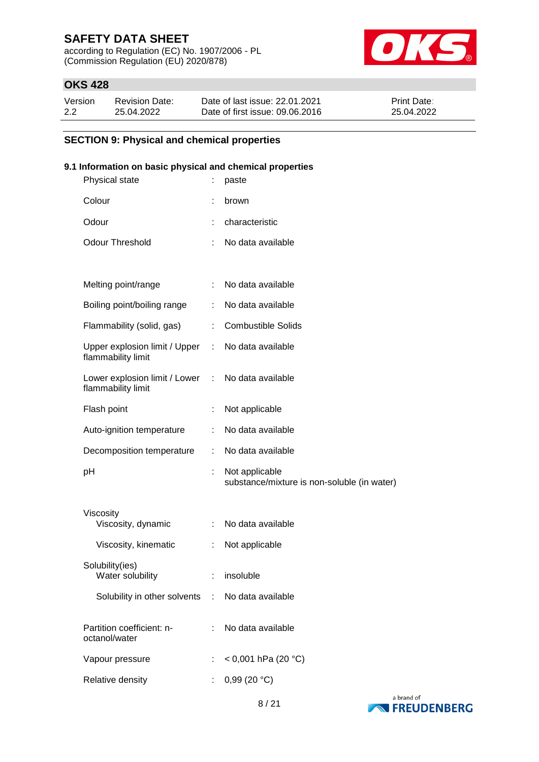according to Regulation (EC) No. 1907/2006 - PL (Commission Regulation (EU) 2020/878)



### **OKS 428**

| Version | <b>Revision Date:</b> | Date of last issue: 22.01.2021  | <b>Print Date:</b> |
|---------|-----------------------|---------------------------------|--------------------|
| 2.2     | 25.04.2022            | Date of first issue: 09.06.2016 | 25.04.2022         |

### **SECTION 9: Physical and chemical properties**

### **9.1 Information on basic physical and chemical properties**

| Physical state                                        |   | paste                                                         |
|-------------------------------------------------------|---|---------------------------------------------------------------|
| Colour                                                | ÷ | brown                                                         |
| Odour                                                 |   | characteristic                                                |
| <b>Odour Threshold</b>                                | ÷ | No data available                                             |
|                                                       |   |                                                               |
| Melting point/range                                   | ÷ | No data available                                             |
| Boiling point/boiling range                           |   | No data available                                             |
| Flammability (solid, gas)                             | ÷ | <b>Combustible Solids</b>                                     |
| Upper explosion limit / Upper :<br>flammability limit |   | No data available                                             |
| Lower explosion limit / Lower :<br>flammability limit |   | No data available                                             |
| Flash point                                           | ÷ | Not applicable                                                |
| Auto-ignition temperature                             |   | No data available                                             |
| Decomposition temperature                             | ÷ | No data available                                             |
| рH                                                    | ÷ | Not applicable<br>substance/mixture is non-soluble (in water) |
| Viscosity                                             |   |                                                               |
| Viscosity, dynamic                                    | ÷ | No data available                                             |
| Viscosity, kinematic                                  | ÷ | Not applicable                                                |
| Solubility(ies)<br>Water solubility                   |   | insoluble                                                     |
| Solubility in other solvents : No data available      |   |                                                               |
| Partition coefficient: n-<br>octanol/water            | ÷ | No data available                                             |
| Vapour pressure                                       |   | < 0,001 hPa (20 °C)                                           |
| Relative density                                      |   | 0,99(20 °C)                                                   |
|                                                       |   |                                                               |

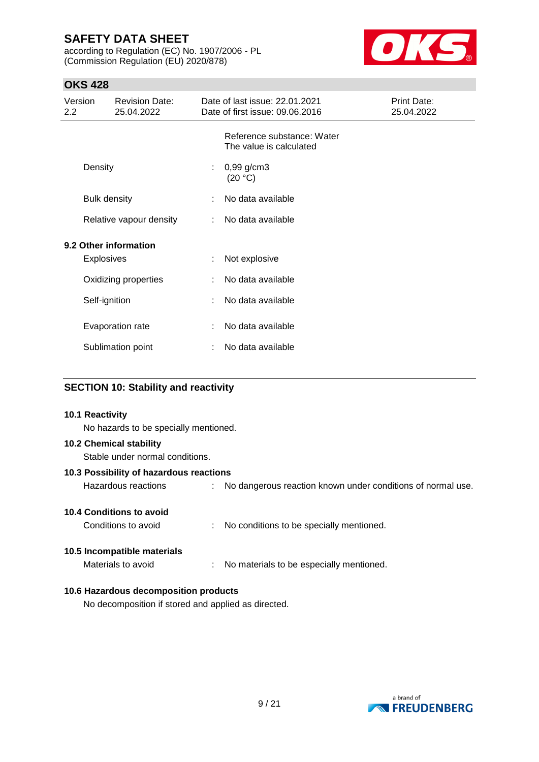according to Regulation (EC) No. 1907/2006 - PL (Commission Regulation (EU) 2020/878)



## **OKS 428**

| Version<br>$2.2^{\circ}$ |                     | <b>Revision Date:</b><br>25.04.2022 |                   | Date of last issue: 22.01.2021<br>Date of first issue: 09.06.2016 | <b>Print Date:</b><br>25.04.2022 |
|--------------------------|---------------------|-------------------------------------|-------------------|-------------------------------------------------------------------|----------------------------------|
|                          |                     |                                     |                   | Reference substance: Water<br>The value is calculated             |                                  |
|                          | Density             |                                     | ÷                 | $0,99$ g/cm3<br>(20 °C)                                           |                                  |
|                          | <b>Bulk density</b> |                                     |                   | No data available                                                 |                                  |
| Relative vapour density  |                     | ÷                                   | No data available |                                                                   |                                  |
| 9.2 Other information    |                     |                                     |                   |                                                                   |                                  |
|                          | <b>Explosives</b>   |                                     | ÷                 | Not explosive                                                     |                                  |
|                          |                     | Oxidizing properties                | ÷                 | No data available                                                 |                                  |
|                          | Self-ignition       |                                     |                   | No data available                                                 |                                  |
|                          |                     | Evaporation rate                    |                   | No data available                                                 |                                  |
|                          |                     | Sublimation point                   |                   | No data available                                                 |                                  |

### **SECTION 10: Stability and reactivity**

# **10.1 Reactivity** No hazards to be specially mentioned. **10.2 Chemical stability** Stable under normal conditions. **10.3 Possibility of hazardous reactions** Hazardous reactions : No dangerous reaction known under conditions of normal use. **10.4 Conditions to avoid** Conditions to avoid : No conditions to be specially mentioned. **10.5 Incompatible materials** Materials to avoid : No materials to be especially mentioned. **10.6 Hazardous decomposition products** No decomposition if stored and applied as directed.

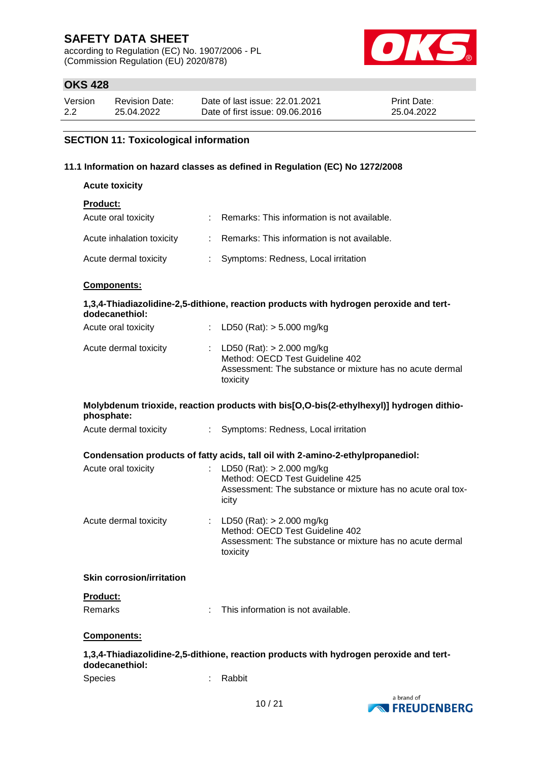according to Regulation (EC) No. 1907/2006 - PL (Commission Regulation (EU) 2020/878)



### **OKS 428**

| Version | <b>Revision Date:</b> | Date of last issue: 22.01.2021  | <b>Print Date:</b> |
|---------|-----------------------|---------------------------------|--------------------|
| 2.2     | 25.04.2022            | Date of first issue: 09.06.2016 | 25.04.2022         |

### **SECTION 11: Toxicological information**

#### **11.1 Information on hazard classes as defined in Regulation (EC) No 1272/2008**

| <b>Acute toxicity</b>            |                               |                                                                                                                                        |
|----------------------------------|-------------------------------|----------------------------------------------------------------------------------------------------------------------------------------|
| <b>Product:</b>                  |                               |                                                                                                                                        |
| Acute oral toxicity              | $\mathcal{L}^{\text{max}}$    | Remarks: This information is not available.                                                                                            |
| Acute inhalation toxicity        | ÷.                            | Remarks: This information is not available.                                                                                            |
| Acute dermal toxicity            | ÷                             | Symptoms: Redness, Local irritation                                                                                                    |
| Components:                      |                               |                                                                                                                                        |
| dodecanethiol:                   |                               | 1,3,4-Thiadiazolidine-2,5-dithione, reaction products with hydrogen peroxide and tert-                                                 |
| Acute oral toxicity              | $\mathbb{Z}^{\mathbb{Z}^n}$ . | LD50 (Rat): $> 5.000$ mg/kg                                                                                                            |
| Acute dermal toxicity            |                               | LD50 (Rat): $> 2.000$ mg/kg<br>Method: OECD Test Guideline 402<br>Assessment: The substance or mixture has no acute dermal<br>toxicity |
| phosphate:                       |                               | Molybdenum trioxide, reaction products with bis[O,O-bis(2-ethylhexyl)] hydrogen dithio-                                                |
| Acute dermal toxicity            | $\mathbb{R}^{\mathbb{Z}}$     | Symptoms: Redness, Local irritation                                                                                                    |
|                                  |                               |                                                                                                                                        |
|                                  |                               | Condensation products of fatty acids, tall oil with 2-amino-2-ethylpropanediol:                                                        |
| Acute oral toxicity              |                               | LD50 (Rat): $> 2.000$ mg/kg<br>Method: OECD Test Guideline 425<br>Assessment: The substance or mixture has no acute oral tox-<br>icity |
| Acute dermal toxicity            |                               | LD50 (Rat): $> 2.000$ mg/kg<br>Method: OECD Test Guideline 402<br>Assessment: The substance or mixture has no acute dermal<br>toxicity |
| <b>Skin corrosion/irritation</b> |                               |                                                                                                                                        |
| <b>Product:</b><br>Remarks       |                               | This information is not available.                                                                                                     |

#### **Components:**

### **1,3,4-Thiadiazolidine-2,5-dithione, reaction products with hydrogen peroxide and tertdodecanethiol:** Species : Rabbit

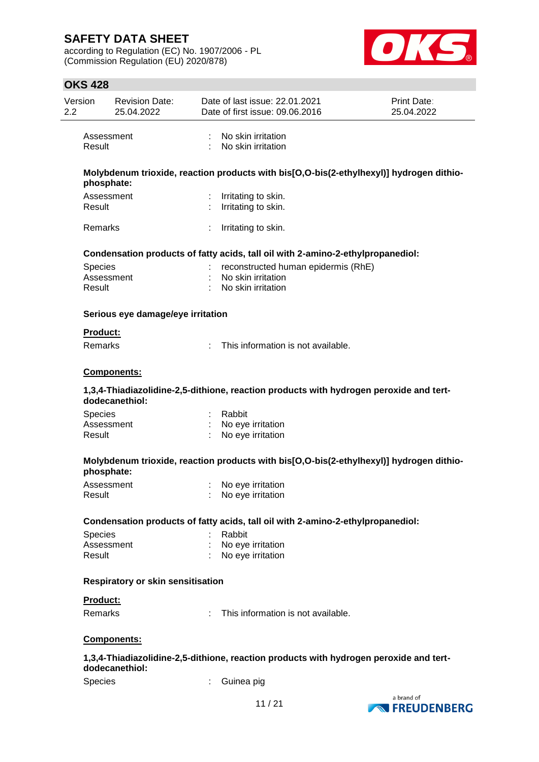according to Regulation (EC) No. 1907/2006 - PL (Commission Regulation (EU) 2020/878)



# **OKS 428**

| Version<br>$2.2\phantom{0}$ | <b>Revision Date:</b><br>25.04.2022      |                | Date of last issue: 22.01.2021<br>Date of first issue: 09.06.2016                       | Print Date:<br>25.04.2022 |
|-----------------------------|------------------------------------------|----------------|-----------------------------------------------------------------------------------------|---------------------------|
|                             | Assessment<br>Result                     |                | : No skin irritation<br>: No skin irritation                                            |                           |
|                             |                                          |                | Molybdenum trioxide, reaction products with bis[O,O-bis(2-ethylhexyl)] hydrogen dithio- |                           |
|                             | phosphate:                               |                |                                                                                         |                           |
|                             | Assessment                               |                | : Irritating to skin.                                                                   |                           |
|                             | Result                                   |                | : Irritating to skin.                                                                   |                           |
|                             | Remarks                                  |                | Irritating to skin.                                                                     |                           |
|                             |                                          |                | Condensation products of fatty acids, tall oil with 2-amino-2-ethylpropanediol:         |                           |
|                             | <b>Species</b>                           | $\mathbb{R}^n$ | reconstructed human epidermis (RhE)                                                     |                           |
|                             | Assessment                               |                | : No skin irritation                                                                    |                           |
|                             | Result                                   |                | : No skin irritation                                                                    |                           |
|                             | Serious eye damage/eye irritation        |                |                                                                                         |                           |
|                             | <b>Product:</b>                          |                |                                                                                         |                           |
|                             | <b>Remarks</b>                           |                | : This information is not available.                                                    |                           |
|                             | <b>Components:</b>                       |                |                                                                                         |                           |
|                             | dodecanethiol:                           |                | 1,3,4-Thiadiazolidine-2,5-dithione, reaction products with hydrogen peroxide and tert-  |                           |
|                             | <b>Species</b>                           |                | : Rabbit                                                                                |                           |
|                             | Assessment                               |                | : No eye irritation                                                                     |                           |
|                             | Result                                   |                | : No eye irritation                                                                     |                           |
|                             |                                          |                | Molybdenum trioxide, reaction products with bis[O,O-bis(2-ethylhexyl)] hydrogen dithio- |                           |
|                             | phosphate:                               |                |                                                                                         |                           |
|                             | Assessment                               |                | No eye irritation                                                                       |                           |
|                             | Result                                   |                | No eye irritation                                                                       |                           |
|                             |                                          |                | Condensation products of fatty acids, tall oil with 2-amino-2-ethylpropanediol:         |                           |
|                             | Species                                  |                | Rabbit                                                                                  |                           |
|                             | Assessment                               |                | : No eye irritation                                                                     |                           |
|                             | Result                                   |                | : No eye irritation                                                                     |                           |
|                             | <b>Respiratory or skin sensitisation</b> |                |                                                                                         |                           |
|                             | <b>Product:</b>                          |                |                                                                                         |                           |
|                             | Remarks                                  |                | : This information is not available.                                                    |                           |
|                             | Components:                              |                |                                                                                         |                           |
|                             | dodecanethiol:                           |                | 1,3,4-Thiadiazolidine-2,5-dithione, reaction products with hydrogen peroxide and tert-  |                           |
|                             | Species                                  |                | Guinea pig                                                                              |                           |

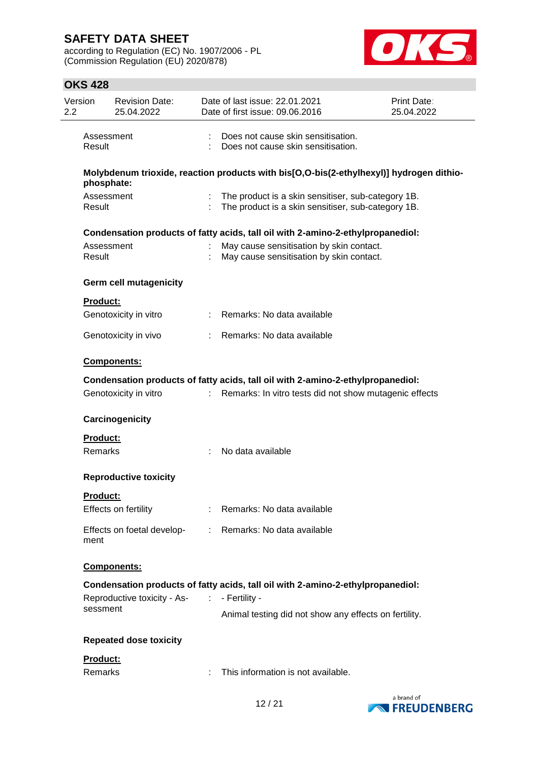according to Regulation (EC) No. 1907/2006 - PL (Commission Regulation (EU) 2020/878)



# **OKS 428**

| Version<br>2.2  | <b>Revision Date:</b><br>25.04.2022 |    | Date of last issue: 22.01.2021<br>Date of first issue: 09.06.2016                                        | Print Date:<br>25.04.2022 |
|-----------------|-------------------------------------|----|----------------------------------------------------------------------------------------------------------|---------------------------|
| Result          | Assessment                          |    | Does not cause skin sensitisation.<br>Does not cause skin sensitisation.                                 |                           |
|                 | phosphate:                          |    | Molybdenum trioxide, reaction products with bis[O,O-bis(2-ethylhexyl)] hydrogen dithio-                  |                           |
| Result          | Assessment                          |    | The product is a skin sensitiser, sub-category 1B.<br>The product is a skin sensitiser, sub-category 1B. |                           |
|                 |                                     |    | Condensation products of fatty acids, tall oil with 2-amino-2-ethylpropanediol:                          |                           |
| Result          | Assessment                          |    | May cause sensitisation by skin contact.<br>May cause sensitisation by skin contact.                     |                           |
|                 | <b>Germ cell mutagenicity</b>       |    |                                                                                                          |                           |
| <b>Product:</b> |                                     |    |                                                                                                          |                           |
|                 | Genotoxicity in vitro               |    | Remarks: No data available                                                                               |                           |
|                 | Genotoxicity in vivo                |    | Remarks: No data available                                                                               |                           |
|                 | Components:                         |    |                                                                                                          |                           |
|                 |                                     |    | Condensation products of fatty acids, tall oil with 2-amino-2-ethylpropanediol:                          |                           |
|                 | Genotoxicity in vitro               | t. | Remarks: In vitro tests did not show mutagenic effects                                                   |                           |
|                 | Carcinogenicity                     |    |                                                                                                          |                           |
| <b>Product:</b> |                                     |    |                                                                                                          |                           |
| Remarks         |                                     |    | No data available                                                                                        |                           |
|                 | <b>Reproductive toxicity</b>        |    |                                                                                                          |                           |
| <b>Product:</b> |                                     |    | Remarks: No data available                                                                               |                           |
|                 | Effects on fertility                |    |                                                                                                          |                           |
| ment            | Effects on foetal develop-          |    | Remarks: No data available                                                                               |                           |
|                 | Components:                         |    |                                                                                                          |                           |
|                 |                                     |    | Condensation products of fatty acids, tall oil with 2-amino-2-ethylpropanediol:                          |                           |
|                 | Reproductive toxicity - As-         |    | - Fertility -                                                                                            |                           |
| sessment        |                                     |    | Animal testing did not show any effects on fertility.                                                    |                           |
|                 | <b>Repeated dose toxicity</b>       |    |                                                                                                          |                           |
| Product:        |                                     |    |                                                                                                          |                           |
| Remarks         |                                     |    | This information is not available.                                                                       |                           |
|                 |                                     |    |                                                                                                          |                           |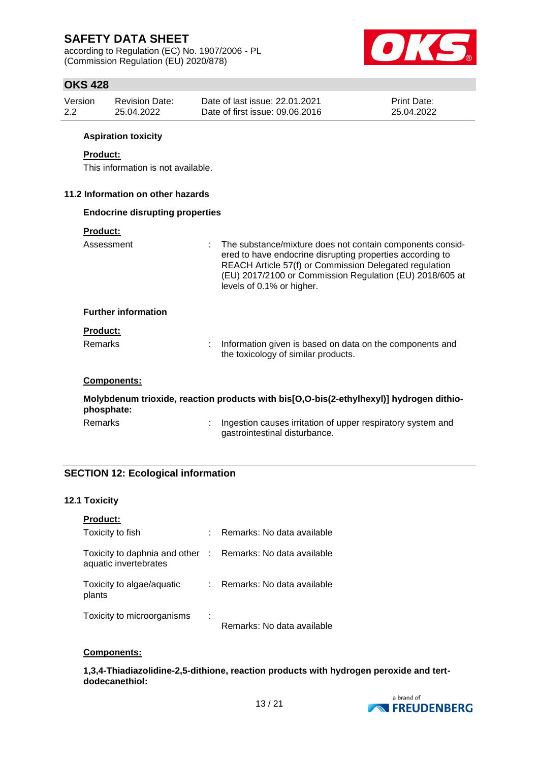according to Regulation (EC) No. 1907/2006 - PL (Commission Regulation (EU) 2020/878)



### **OKS 428**

| Version          |                 | <b>Revision Date:</b>                  | Date of last issue: 22.01.2021<br>Print Date: |                                                                                                                                                                                                                                                                           |  |
|------------------|-----------------|----------------------------------------|-----------------------------------------------|---------------------------------------------------------------------------------------------------------------------------------------------------------------------------------------------------------------------------------------------------------------------------|--|
| $2.2\phantom{0}$ |                 | 25.04.2022                             | Date of first issue: 09.06.2016<br>25.04.2022 |                                                                                                                                                                                                                                                                           |  |
|                  |                 | <b>Aspiration toxicity</b>             |                                               |                                                                                                                                                                                                                                                                           |  |
|                  | <b>Product:</b> | This information is not available.     |                                               |                                                                                                                                                                                                                                                                           |  |
|                  |                 | 11.2 Information on other hazards      |                                               |                                                                                                                                                                                                                                                                           |  |
|                  |                 | <b>Endocrine disrupting properties</b> |                                               |                                                                                                                                                                                                                                                                           |  |
|                  | <b>Product:</b> |                                        |                                               |                                                                                                                                                                                                                                                                           |  |
|                  | Assessment      |                                        |                                               | The substance/mixture does not contain components consid-<br>ered to have endocrine disrupting properties according to<br>REACH Article 57(f) or Commission Delegated regulation<br>(EU) 2017/2100 or Commission Regulation (EU) 2018/605 at<br>levels of 0.1% or higher. |  |
|                  |                 | <b>Further information</b>             |                                               |                                                                                                                                                                                                                                                                           |  |
|                  | <b>Product:</b> |                                        |                                               |                                                                                                                                                                                                                                                                           |  |
|                  | Remarks         |                                        |                                               | Information given is based on data on the components and<br>the toxicology of similar products.                                                                                                                                                                           |  |
|                  |                 | Components:                            |                                               |                                                                                                                                                                                                                                                                           |  |
|                  | phosphate:      |                                        |                                               | Molybdenum trioxide, reaction products with bis[O,O-bis(2-ethylhexyl)] hydrogen dithio-                                                                                                                                                                                   |  |
|                  | <b>Remarks</b>  |                                        |                                               | Ingestion causes irritation of upper respiratory system and<br>gastrointestinal disturbance.                                                                                                                                                                              |  |

### **SECTION 12: Ecological information**

### **12.1 Toxicity**

| <b>Product:</b>                                                                     |    |                            |
|-------------------------------------------------------------------------------------|----|----------------------------|
| Toxicity to fish                                                                    | t. | Remarks: No data available |
| Toxicity to daphnia and other : Remarks: No data available<br>aquatic invertebrates |    |                            |
| Toxicity to algae/aquatic<br>plants                                                 |    | Remarks: No data available |
| Toxicity to microorganisms                                                          | ÷  | Remarks: No data available |

#### **Components:**

**1,3,4-Thiadiazolidine-2,5-dithione, reaction products with hydrogen peroxide and tertdodecanethiol:**

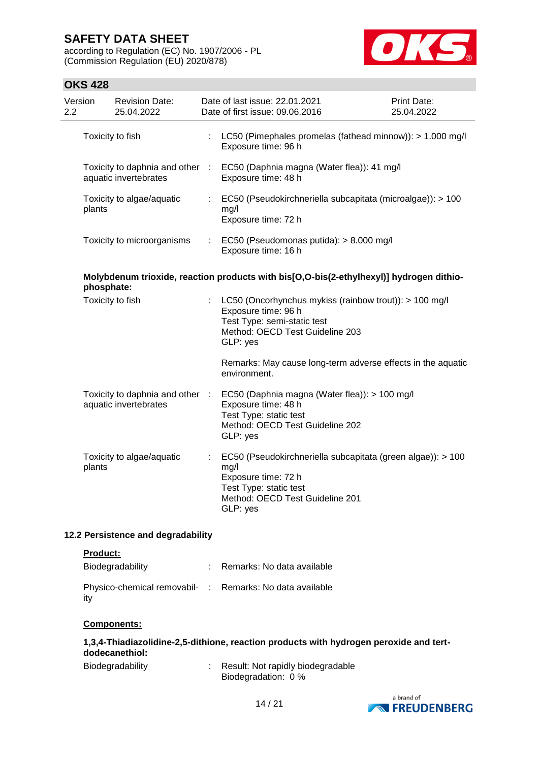according to Regulation (EC) No. 1907/2006 - PL (Commission Regulation (EU) 2020/878)



### **OKS 428**

| Version<br>2.2 | <b>Revision Date:</b><br>25.04.2022                      | Date of last issue: 22.01.2021<br>Date of first issue: 09.06.2016                                                                                                   | Print Date:<br>25.04.2022 |
|----------------|----------------------------------------------------------|---------------------------------------------------------------------------------------------------------------------------------------------------------------------|---------------------------|
|                | Toxicity to fish                                         | : LC50 (Pimephales promelas (fathead minnow)): > 1.000 mg/l<br>Exposure time: 96 h                                                                                  |                           |
|                | aquatic invertebrates                                    | Toxicity to daphnia and other : EC50 (Daphnia magna (Water flea)): 41 mg/l<br>Exposure time: 48 h                                                                   |                           |
| plants         | Toxicity to algae/aquatic                                | : EC50 (Pseudokirchneriella subcapitata (microalgae)): > 100<br>mg/l<br>Exposure time: 72 h                                                                         |                           |
|                | Toxicity to microorganisms                               | : EC50 (Pseudomonas putida): > 8.000 mg/l<br>Exposure time: 16 h                                                                                                    |                           |
|                | phosphate:                                               | Molybdenum trioxide, reaction products with bis[O,O-bis(2-ethylhexyl)] hydrogen dithio-                                                                             |                           |
|                | Toxicity to fish                                         | : LC50 (Oncorhynchus mykiss (rainbow trout)): > 100 mg/l<br>Exposure time: 96 h<br>Test Type: semi-static test<br>Method: OECD Test Guideline 203<br>GLP: yes       |                           |
|                |                                                          | Remarks: May cause long-term adverse effects in the aquatic<br>environment.                                                                                         |                           |
|                | Toxicity to daphnia and other :<br>aquatic invertebrates | EC50 (Daphnia magna (Water flea)): > 100 mg/l<br>Exposure time: 48 h<br>Test Type: static test<br>Method: OECD Test Guideline 202<br>GLP: yes                       |                           |
| plants         | Toxicity to algae/aquatic                                | EC50 (Pseudokirchneriella subcapitata (green algae)): > 100<br>mg/l<br>Exposure time: 72 h<br>Test Type: static test<br>Method: OECD Test Guideline 201<br>GLP: yes |                           |

### **12.2 Persistence and degradability**

#### **Product:**

| Biodegradability                                                | : Remarks: No data available |
|-----------------------------------------------------------------|------------------------------|
| Physico-chemical removabil- : Remarks: No data available<br>ity |                              |

#### **Components:**

# **1,3,4-Thiadiazolidine-2,5-dithione, reaction products with hydrogen peroxide and tertdodecanethiol:**

| Biodegradability | Result: Not rapidly biodegradable |
|------------------|-----------------------------------|
|                  | Biodegradation: 0 %               |

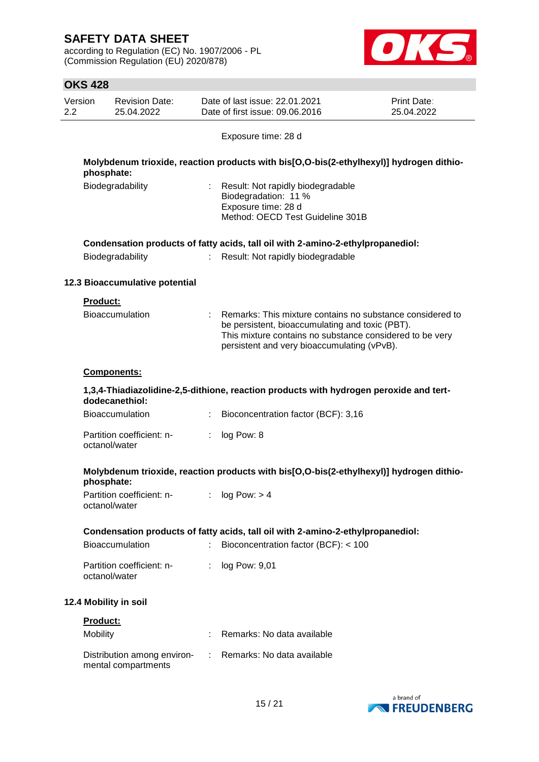according to Regulation (EC) No. 1907/2006 - PL (Commission Regulation (EU) 2020/878)



| <b>OKS 428</b>  |                                                    |    |                                                                                                                                                                                                                         |                           |
|-----------------|----------------------------------------------------|----|-------------------------------------------------------------------------------------------------------------------------------------------------------------------------------------------------------------------------|---------------------------|
| Version<br>2.2  | <b>Revision Date:</b><br>25.04.2022                |    | Date of last issue: 22.01.2021<br>Date of first issue: 09.06.2016                                                                                                                                                       | Print Date:<br>25.04.2022 |
|                 |                                                    |    | Exposure time: 28 d                                                                                                                                                                                                     |                           |
|                 | phosphate:                                         |    | Molybdenum trioxide, reaction products with bis[O,O-bis(2-ethylhexyl)] hydrogen dithio-                                                                                                                                 |                           |
|                 | Biodegradability                                   |    | Result: Not rapidly biodegradable<br>Biodegradation: 11 %<br>Exposure time: 28 d<br>Method: OECD Test Guideline 301B                                                                                                    |                           |
|                 |                                                    |    | Condensation products of fatty acids, tall oil with 2-amino-2-ethylpropanediol:                                                                                                                                         |                           |
|                 | Biodegradability                                   |    | Result: Not rapidly biodegradable                                                                                                                                                                                       |                           |
|                 | 12.3 Bioaccumulative potential                     |    |                                                                                                                                                                                                                         |                           |
| <b>Product:</b> |                                                    |    |                                                                                                                                                                                                                         |                           |
|                 | <b>Bioaccumulation</b>                             |    | Remarks: This mixture contains no substance considered to<br>be persistent, bioaccumulating and toxic (PBT).<br>This mixture contains no substance considered to be very<br>persistent and very bioaccumulating (vPvB). |                           |
|                 | Components:                                        |    |                                                                                                                                                                                                                         |                           |
|                 | dodecanethiol:                                     |    | 1,3,4-Thiadiazolidine-2,5-dithione, reaction products with hydrogen peroxide and tert-                                                                                                                                  |                           |
|                 | <b>Bioaccumulation</b>                             |    | Bioconcentration factor (BCF): 3,16                                                                                                                                                                                     |                           |
|                 | Partition coefficient: n-<br>octanol/water         |    | log Pow: 8                                                                                                                                                                                                              |                           |
|                 | phosphate:                                         |    | Molybdenum trioxide, reaction products with bis[O,O-bis(2-ethylhexyl)] hydrogen dithio-                                                                                                                                 |                           |
|                 | Partition coefficient: n-<br>octanol/water         |    | log Pow: > 4                                                                                                                                                                                                            |                           |
|                 |                                                    |    | Condensation products of fatty acids, tall oil with 2-amino-2-ethylpropanediol:                                                                                                                                         |                           |
|                 | <b>Bioaccumulation</b>                             |    | Bioconcentration factor (BCF): < 100                                                                                                                                                                                    |                           |
|                 | Partition coefficient: n-<br>octanol/water         |    | log Pow: 9,01                                                                                                                                                                                                           |                           |
|                 | 12.4 Mobility in soil                              |    |                                                                                                                                                                                                                         |                           |
| <b>Product:</b> |                                                    |    |                                                                                                                                                                                                                         |                           |
| Mobility        |                                                    |    | Remarks: No data available                                                                                                                                                                                              |                           |
|                 | Distribution among environ-<br>mental compartments | ÷. | Remarks: No data available                                                                                                                                                                                              |                           |

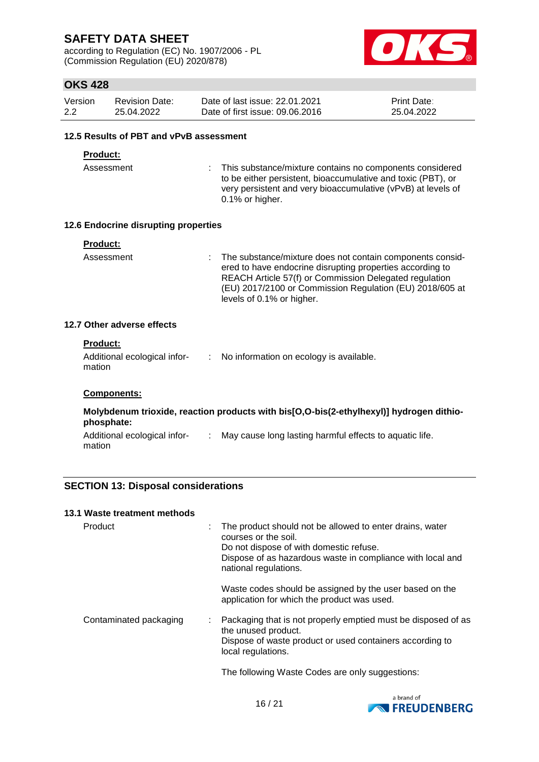according to Regulation (EC) No. 1907/2006 - PL (Commission Regulation (EU) 2020/878)



### **OKS 428**

| Version | <b>Revision Date:</b> | Date of last issue: 22.01.2021  | <b>Print Date:</b> |
|---------|-----------------------|---------------------------------|--------------------|
| 2.2     | 25.04.2022            | Date of first issue: 09.06.2016 | 25.04.2022         |

#### **12.5 Results of PBT and vPvB assessment**

#### **Product:**

Assessment : This substance/mixture contains no components considered to be either persistent, bioaccumulative and toxic (PBT), or very persistent and very bioaccumulative (vPvB) at levels of 0.1% or higher.

#### **12.6 Endocrine disrupting properties**

| <b>Product:</b> |                                                                                                                                                                                                                                                                             |
|-----------------|-----------------------------------------------------------------------------------------------------------------------------------------------------------------------------------------------------------------------------------------------------------------------------|
| Assessment      | : The substance/mixture does not contain components consid-<br>ered to have endocrine disrupting properties according to<br>REACH Article 57(f) or Commission Delegated regulation<br>(EU) 2017/2100 or Commission Regulation (EU) 2018/605 at<br>levels of 0.1% or higher. |

#### **12.7 Other adverse effects**

| <b>Product:</b>                        |                                           |
|----------------------------------------|-------------------------------------------|
| Additional ecological infor-<br>mation | : No information on ecology is available. |
| <b>Components:</b>                     |                                           |

| phosphate:                             | Molybdenum trioxide, reaction products with bis[O,O-bis(2-ethylhexyl)] hydrogen dithio- |
|----------------------------------------|-----------------------------------------------------------------------------------------|
| Additional ecological infor-<br>mation | May cause long lasting harmful effects to aquatic life.                                 |

### **SECTION 13: Disposal considerations**

#### **13.1 Waste treatment methods**

| Product                | The product should not be allowed to enter drains, water<br>courses or the soil.<br>Do not dispose of with domestic refuse.<br>Dispose of as hazardous waste in compliance with local and<br>national regulations. |
|------------------------|--------------------------------------------------------------------------------------------------------------------------------------------------------------------------------------------------------------------|
|                        | Waste codes should be assigned by the user based on the<br>application for which the product was used.                                                                                                             |
| Contaminated packaging | : Packaging that is not properly emptied must be disposed of as<br>the unused product.<br>Dispose of waste product or used containers according to<br>local regulations.                                           |
|                        | The following Waste Codes are only suggestions:                                                                                                                                                                    |

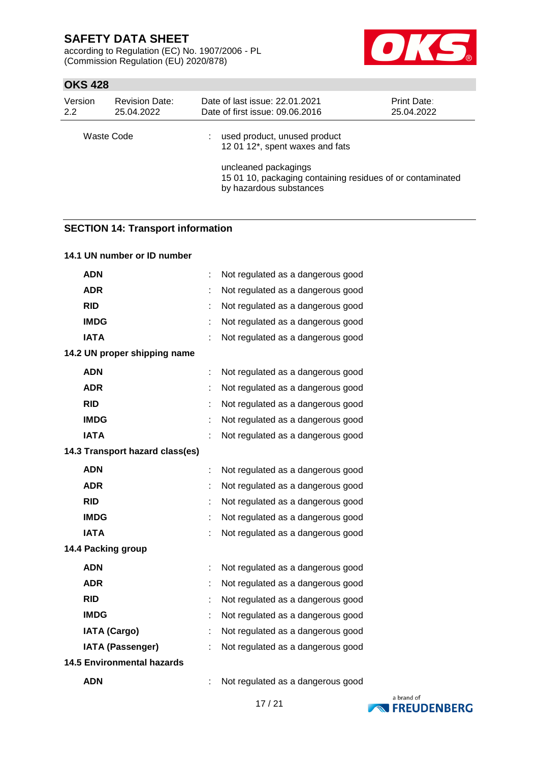according to Regulation (EC) No. 1907/2006 - PL (Commission Regulation (EU) 2020/878)



### **OKS 428**

| Version<br>2.2 | <b>Revision Date:</b><br>25.04.2022 | Date of last issue: 22.01.2021<br>Date of first issue: 09.06.2016                       | Print Date:<br>25.04.2022 |
|----------------|-------------------------------------|-----------------------------------------------------------------------------------------|---------------------------|
| Waste Code     |                                     | used product, unused product<br>12 01 12*, spent waxes and fats<br>uncleaned packagings |                           |
|                |                                     | 15 01 10, packaging containing residues of or contaminated<br>by hazardous substances   |                           |

# **SECTION 14: Transport information**

| 14.1 UN number or ID number       |   |                                   |
|-----------------------------------|---|-----------------------------------|
| <b>ADN</b>                        |   | Not regulated as a dangerous good |
| <b>ADR</b>                        |   | Not regulated as a dangerous good |
| <b>RID</b>                        |   | Not regulated as a dangerous good |
| <b>IMDG</b>                       |   | Not regulated as a dangerous good |
| <b>IATA</b>                       |   | Not regulated as a dangerous good |
| 14.2 UN proper shipping name      |   |                                   |
| <b>ADN</b>                        |   | Not regulated as a dangerous good |
| <b>ADR</b>                        |   | Not regulated as a dangerous good |
| <b>RID</b>                        |   | Not regulated as a dangerous good |
| <b>IMDG</b>                       |   | Not regulated as a dangerous good |
| <b>IATA</b>                       |   | Not regulated as a dangerous good |
| 14.3 Transport hazard class(es)   |   |                                   |
| <b>ADN</b>                        | t | Not regulated as a dangerous good |
| <b>ADR</b>                        |   | Not regulated as a dangerous good |
| <b>RID</b>                        |   | Not regulated as a dangerous good |
| <b>IMDG</b>                       |   | Not regulated as a dangerous good |
| <b>IATA</b>                       |   | Not regulated as a dangerous good |
| 14.4 Packing group                |   |                                   |
| <b>ADN</b>                        |   | Not regulated as a dangerous good |
| <b>ADR</b>                        |   | Not regulated as a dangerous good |
| <b>RID</b>                        |   | Not regulated as a dangerous good |
| <b>IMDG</b>                       |   | Not regulated as a dangerous good |
| <b>IATA (Cargo)</b>               |   | Not regulated as a dangerous good |
| <b>IATA (Passenger)</b>           |   | Not regulated as a dangerous good |
| <b>14.5 Environmental hazards</b> |   |                                   |
| <b>ADN</b>                        |   | Not regulated as a dangerous good |

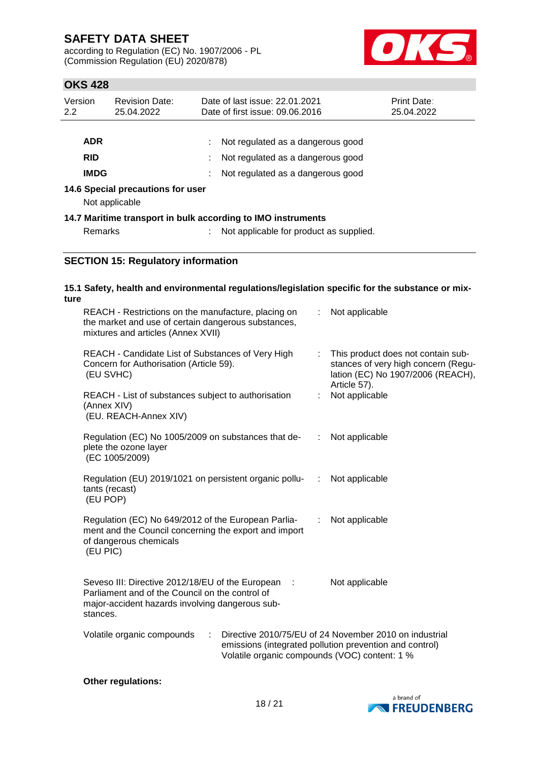according to Regulation (EC) No. 1907/2006 - PL (Commission Regulation (EU) 2020/878)



# **OKS 428**

| Version<br>2.2                                      | <b>Revision Date:</b><br>25.04.2022 |    | Date of last issue: 22.01.2021<br>Date of first issue: 09.06.2016                                           | <b>Print Date:</b><br>25.04.2022 |  |
|-----------------------------------------------------|-------------------------------------|----|-------------------------------------------------------------------------------------------------------------|----------------------------------|--|
| <b>ADR</b><br><b>RID</b><br><b>IMDG</b>             |                                     | ÷. | Not regulated as a dangerous good<br>Not regulated as a dangerous good<br>Not regulated as a dangerous good |                                  |  |
| 14.6 Special precautions for user<br>Not applicable |                                     |    |                                                                                                             |                                  |  |
| <b>Remarks</b>                                      |                                     |    | 14.7 Maritime transport in bulk according to IMO instruments<br>Not applicable for product as supplied.     |                                  |  |

### **SECTION 15: Regulatory information**

### **15.1 Safety, health and environmental regulations/legislation specific for the substance or mixture**

| REACH - Restrictions on the manufacture, placing on<br>the market and use of certain dangerous substances,<br>mixtures and articles (Annex XVII)                     |    | Not applicable                                                                                                                                                     |
|----------------------------------------------------------------------------------------------------------------------------------------------------------------------|----|--------------------------------------------------------------------------------------------------------------------------------------------------------------------|
| REACH - Candidate List of Substances of Very High<br>Concern for Authorisation (Article 59).<br>(EU SVHC)                                                            |    | : This product does not contain sub-<br>stances of very high concern (Regu-<br>lation (EC) No 1907/2006 (REACH),                                                   |
| REACH - List of substances subject to authorisation<br>(Annex XIV)<br>(EU. REACH-Annex XIV)                                                                          |    | Article 57).<br>Not applicable                                                                                                                                     |
| Regulation (EC) No 1005/2009 on substances that de-<br>plete the ozone layer<br>(EC 1005/2009)                                                                       | ÷. | Not applicable                                                                                                                                                     |
| Regulation (EU) 2019/1021 on persistent organic pollu-<br>tants (recast)<br>(EU POP)                                                                                 | ÷  | Not applicable                                                                                                                                                     |
| Regulation (EC) No 649/2012 of the European Parlia-<br>ment and the Council concerning the export and import<br>of dangerous chemicals<br>(EU PIC)                   | ÷. | Not applicable                                                                                                                                                     |
| Seveso III: Directive 2012/18/EU of the European :<br>Parliament and of the Council on the control of<br>major-accident hazards involving dangerous sub-<br>stances. |    | Not applicable                                                                                                                                                     |
| Volatile organic compounds<br>$\ddot{\phantom{a}}$                                                                                                                   |    | Directive 2010/75/EU of 24 November 2010 on industrial<br>emissions (integrated pollution prevention and control)<br>Volatile organic compounds (VOC) content: 1 % |
|                                                                                                                                                                      |    |                                                                                                                                                                    |

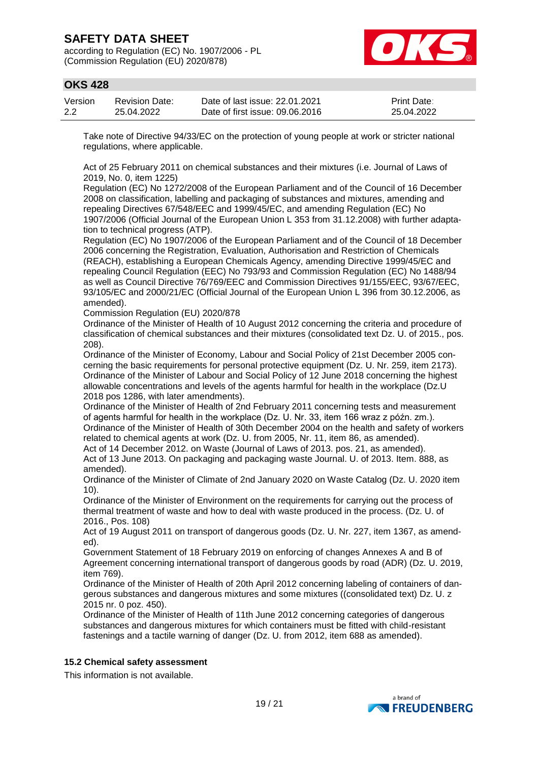according to Regulation (EC) No. 1907/2006 - PL (Commission Regulation (EU) 2020/878)



### **OKS 428**

| Version | <b>Revision Date:</b> | Date of last issue: 22.01.2021  | <b>Print Date:</b> |
|---------|-----------------------|---------------------------------|--------------------|
| 2.2     | 25.04.2022            | Date of first issue: 09.06.2016 | 25.04.2022         |

Take note of Directive 94/33/EC on the protection of young people at work or stricter national regulations, where applicable.

Act of 25 February 2011 on chemical substances and their mixtures (i.e. Journal of Laws of 2019, No. 0, item 1225)

Regulation (EC) No 1272/2008 of the European Parliament and of the Council of 16 December 2008 on classification, labelling and packaging of substances and mixtures, amending and repealing Directives 67/548/EEC and 1999/45/EC, and amending Regulation (EC) No 1907/2006 (Official Journal of the European Union L 353 from 31.12.2008) with further adaptation to technical progress (ATP).

Regulation (EC) No 1907/2006 of the European Parliament and of the Council of 18 December 2006 concerning the Registration, Evaluation, Authorisation and Restriction of Chemicals (REACH), establishing a European Chemicals Agency, amending Directive 1999/45/EC and repealing Council Regulation (EEC) No 793/93 and Commission Regulation (EC) No 1488/94 as well as Council Directive 76/769/EEC and Commission Directives 91/155/EEC, 93/67/EEC, 93/105/EC and 2000/21/EC (Official Journal of the European Union L 396 from 30.12.2006, as amended).

Commission Regulation (EU) 2020/878

Ordinance of the Minister of Health of 10 August 2012 concerning the criteria and procedure of classification of chemical substances and their mixtures (consolidated text Dz. U. of 2015., pos. 208).

Ordinance of the Minister of Economy, Labour and Social Policy of 21st December 2005 concerning the basic requirements for personal protective equipment (Dz. U. Nr. 259, item 2173). Ordinance of the Minister of Labour and Social Policy of 12 June 2018 concerning the highest allowable concentrations and levels of the agents harmful for health in the workplace (Dz.U 2018 pos 1286, with later amendments).

Ordinance of the Minister of Health of 2nd February 2011 concerning tests and measurement of agents harmful for health in the workplace (Dz. U. Nr. 33, item 166 wraz z późn. zm.). Ordinance of the Minister of Health of 30th December 2004 on the health and safety of workers related to chemical agents at work (Dz. U. from 2005, Nr. 11, item 86, as amended).

Act of 14 December 2012. on Waste (Journal of Laws of 2013. pos. 21, as amended). Act of 13 June 2013. On packaging and packaging waste Journal. U. of 2013. Item. 888, as amended).

Ordinance of the Minister of Climate of 2nd January 2020 on Waste Catalog (Dz. U. 2020 item 10).

Ordinance of the Minister of Environment on the requirements for carrying out the process of thermal treatment of waste and how to deal with waste produced in the process. (Dz. U. of 2016., Pos. 108)

Act of 19 August 2011 on transport of dangerous goods (Dz. U. Nr. 227, item 1367, as amended).

Government Statement of 18 February 2019 on enforcing of changes Annexes A and B of Agreement concerning international transport of dangerous goods by road (ADR) (Dz. U. 2019, item 769).

Ordinance of the Minister of Health of 20th April 2012 concerning labeling of containers of dangerous substances and dangerous mixtures and some mixtures ((consolidated text) Dz. U. z 2015 nr. 0 poz. 450).

Ordinance of the Minister of Health of 11th June 2012 concerning categories of dangerous substances and dangerous mixtures for which containers must be fitted with child-resistant fastenings and a tactile warning of danger (Dz. U. from 2012, item 688 as amended).

### **15.2 Chemical safety assessment**

This information is not available.

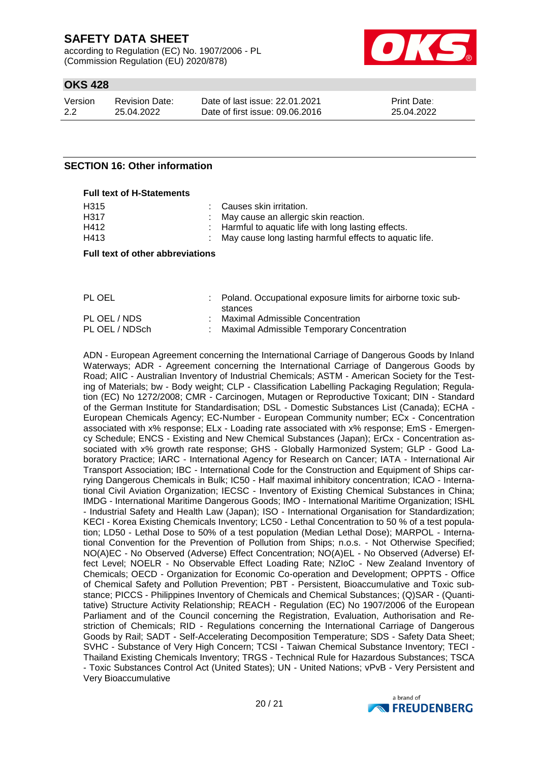according to Regulation (EC) No. 1907/2006 - PL (Commission Regulation (EU) 2020/878)



### **OKS 428**

| Version | <b>Revision Date:</b> | Date of last issue: 22.01.2021  | <b>Print Date:</b> |
|---------|-----------------------|---------------------------------|--------------------|
| 2.2     | 25.04.2022            | Date of first issue: 09.06.2016 | 25.04.2022         |

### **SECTION 16: Other information**

#### **Full text of H-Statements**

| H315 | : Causes skin irritation.                                 |
|------|-----------------------------------------------------------|
| H317 | : May cause an allergic skin reaction.                    |
| H412 | : Harmful to aquatic life with long lasting effects.      |
| H413 | : May cause long lasting harmful effects to aquatic life. |

#### **Full text of other abbreviations**

| PL OEL         | Poland. Occupational exposure limits for airborne toxic sub-<br>stances |
|----------------|-------------------------------------------------------------------------|
| PL OEL / NDS   | Maximal Admissible Concentration                                        |
| PL OEL / NDSch | Maximal Admissible Temporary Concentration                              |

ADN - European Agreement concerning the International Carriage of Dangerous Goods by Inland Waterways; ADR - Agreement concerning the International Carriage of Dangerous Goods by Road; AIIC - Australian Inventory of Industrial Chemicals; ASTM - American Society for the Testing of Materials; bw - Body weight; CLP - Classification Labelling Packaging Regulation; Regulation (EC) No 1272/2008; CMR - Carcinogen, Mutagen or Reproductive Toxicant; DIN - Standard of the German Institute for Standardisation; DSL - Domestic Substances List (Canada); ECHA - European Chemicals Agency; EC-Number - European Community number; ECx - Concentration associated with x% response; ELx - Loading rate associated with x% response; EmS - Emergency Schedule; ENCS - Existing and New Chemical Substances (Japan); ErCx - Concentration associated with x% growth rate response; GHS - Globally Harmonized System; GLP - Good Laboratory Practice; IARC - International Agency for Research on Cancer; IATA - International Air Transport Association; IBC - International Code for the Construction and Equipment of Ships carrying Dangerous Chemicals in Bulk; IC50 - Half maximal inhibitory concentration; ICAO - International Civil Aviation Organization; IECSC - Inventory of Existing Chemical Substances in China; IMDG - International Maritime Dangerous Goods; IMO - International Maritime Organization; ISHL - Industrial Safety and Health Law (Japan); ISO - International Organisation for Standardization; KECI - Korea Existing Chemicals Inventory; LC50 - Lethal Concentration to 50 % of a test population; LD50 - Lethal Dose to 50% of a test population (Median Lethal Dose); MARPOL - International Convention for the Prevention of Pollution from Ships; n.o.s. - Not Otherwise Specified; NO(A)EC - No Observed (Adverse) Effect Concentration; NO(A)EL - No Observed (Adverse) Effect Level; NOELR - No Observable Effect Loading Rate; NZIoC - New Zealand Inventory of Chemicals; OECD - Organization for Economic Co-operation and Development; OPPTS - Office of Chemical Safety and Pollution Prevention; PBT - Persistent, Bioaccumulative and Toxic substance; PICCS - Philippines Inventory of Chemicals and Chemical Substances; (Q)SAR - (Quantitative) Structure Activity Relationship; REACH - Regulation (EC) No 1907/2006 of the European Parliament and of the Council concerning the Registration, Evaluation, Authorisation and Restriction of Chemicals; RID - Regulations concerning the International Carriage of Dangerous Goods by Rail; SADT - Self-Accelerating Decomposition Temperature; SDS - Safety Data Sheet; SVHC - Substance of Very High Concern; TCSI - Taiwan Chemical Substance Inventory; TECI - Thailand Existing Chemicals Inventory; TRGS - Technical Rule for Hazardous Substances; TSCA - Toxic Substances Control Act (United States); UN - United Nations; vPvB - Very Persistent and Very Bioaccumulative